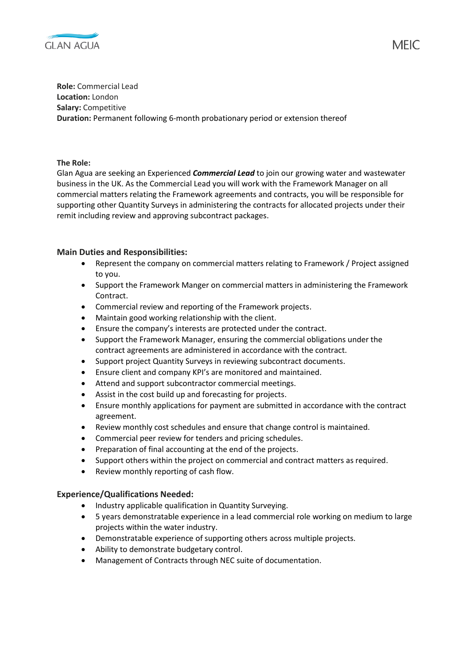

**Role:** Commercial Lead **Location:** London **Salary:** Competitive **Duration:** Permanent following 6-month probationary period or extension thereof

**The Role:**

Glan Agua are seeking an Experienced *Commercial Lead* to join our growing water and wastewater business in the UK. As the Commercial Lead you will work with the Framework Manager on all commercial matters relating the Framework agreements and contracts, you will be responsible for supporting other Quantity Surveys in administering the contracts for allocated projects under their remit including review and approving subcontract packages.

## **Main Duties and Responsibilities:**

- Represent the company on commercial matters relating to Framework / Project assigned to you.
- Support the Framework Manger on commercial matters in administering the Framework Contract.
- Commercial review and reporting of the Framework projects.
- Maintain good working relationship with the client.
- Ensure the company's interests are protected under the contract.
- Support the Framework Manager, ensuring the commercial obligations under the contract agreements are administered in accordance with the contract.
- Support project Quantity Surveys in reviewing subcontract documents.
- Ensure client and company KPI's are monitored and maintained.
- Attend and support subcontractor commercial meetings.
- Assist in the cost build up and forecasting for projects.
- Ensure monthly applications for payment are submitted in accordance with the contract agreement.
- Review monthly cost schedules and ensure that change control is maintained.
- Commercial peer review for tenders and pricing schedules.
- Preparation of final accounting at the end of the projects.
- Support others within the project on commercial and contract matters as required.
- Review monthly reporting of cash flow.

## **Experience/Qualifications Needed:**

- Industry applicable qualification in Quantity Surveying.
- 5 years demonstratable experience in a lead commercial role working on medium to large projects within the water industry.
- Demonstratable experience of supporting others across multiple projects.
- Ability to demonstrate budgetary control.
- Management of Contracts through NEC suite of documentation.